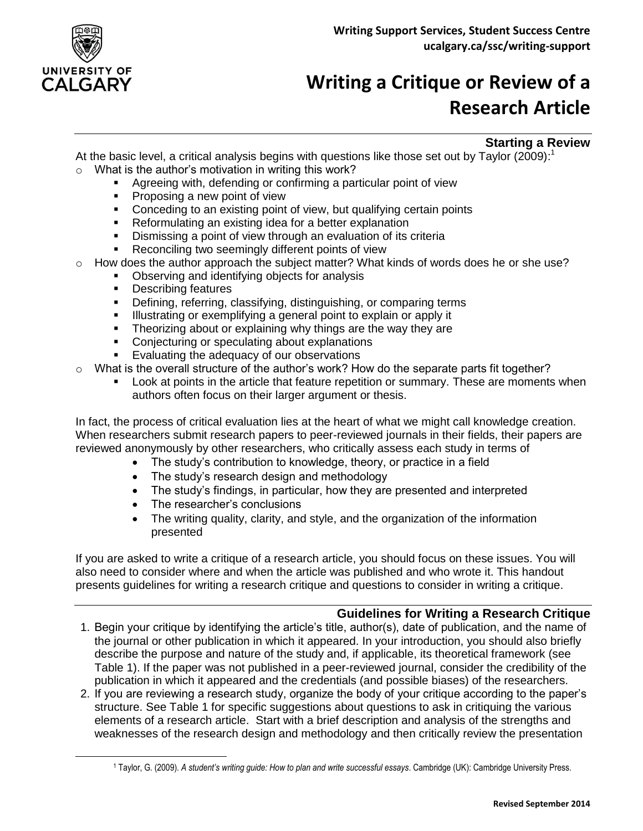

 $\overline{a}$ 

## **Writing a Critique or Review of a Research Article**

## **Starting a Review**

At the basic level, a critical analysis begins with questions like those set out by Taylor (2009):<sup>1</sup>  $\circ$  What is the author's motivation in writing this work?

- Agreeing with, defending or confirming a particular point of view
- **Proposing a new point of view**
- Conceding to an existing point of view, but qualifying certain points
- **Reformulating an existing idea for a better explanation**
- **Dismissing a point of view through an evaluation of its criteria**
- Reconciling two seemingly different points of view
- How does the author approach the subject matter? What kinds of words does he or she use?
	- Observing and identifying objects for analysis<br>• Describing features
	- Describing features
	- **•** Defining, referring, classifying, distinguishing, or comparing terms
	- **Illustrating or exemplifying a general point to explain or apply it**
	- **Theorizing about or explaining why things are the way they are**
	- Conjecturing or speculating about explanations
	- **Evaluating the adequacy of our observations**
- $\circ$  What is the overall structure of the author's work? How do the separate parts fit together?
	- Look at points in the article that feature repetition or summary. These are moments when authors often focus on their larger argument or thesis.

In fact, the process of critical evaluation lies at the heart of what we might call knowledge creation. When researchers submit research papers to peer-reviewed journals in their fields, their papers are reviewed anonymously by other researchers, who critically assess each study in terms of

- The study's contribution to knowledge, theory, or practice in a field
- The study's research design and methodology
- The study's findings, in particular, how they are presented and interpreted
- The researcher's conclusions
- The writing quality, clarity, and style, and the organization of the information presented

If you are asked to write a critique of a research article, you should focus on these issues. You will also need to consider where and when the article was published and who wrote it. This handout presents guidelines for writing a research critique and questions to consider in writing a critique.

## **Guidelines for Writing a Research Critique**

- 1. Begin your critique by identifying the article's title, author(s), date of publication, and the name of the journal or other publication in which it appeared. In your introduction, you should also briefly describe the purpose and nature of the study and, if applicable, its theoretical framework (see Table 1). If the paper was not published in a peer-reviewed journal, consider the credibility of the publication in which it appeared and the credentials (and possible biases) of the researchers.
- 2. If you are reviewing a research study, organize the body of your critique according to the paper's structure. See Table 1 for specific suggestions about questions to ask in critiquing the various elements of a research article. Start with a brief description and analysis of the strengths and weaknesses of the research design and methodology and then critically review the presentation

<sup>1</sup> Taylor, G. (2009). *A student's writing guide: How to plan and write successful essays*. Cambridge (UK): Cambridge University Press.